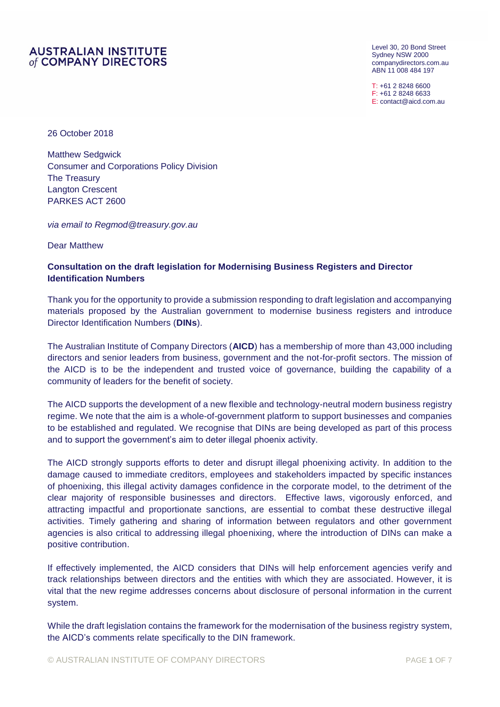# **AUSTRALIAN INSTITUTE** of COMPANY DIRECTORS

Level 30, 20 Bond Street Sydney NSW 2000 [companydirectors.com.au](http://www.companydirectors.com.au/) ABN 11 008 484 197

T: +61 2 8248 6600 F: +61 2 8248 6633 E: [contact@aicd.com.au](mailto:contact@aicd.com.au)

26 October 2018

Matthew Sedgwick Consumer and Corporations Policy Division The Treasury Langton Crescent PARKES ACT 2600

*via email to Regmod@treasury.gov.au*

Dear Matthew

# **Consultation on the draft legislation for Modernising Business Registers and Director Identification Numbers**

Thank you for the opportunity to provide a submission responding to draft legislation and accompanying materials proposed by the Australian government to modernise business registers and introduce Director Identification Numbers (**DINs**).

The Australian Institute of Company Directors (**AICD**) has a membership of more than 43,000 including directors and senior leaders from business, government and the not-for-profit sectors. The mission of the AICD is to be the independent and trusted voice of governance, building the capability of a community of leaders for the benefit of society.

The AICD supports the development of a new flexible and technology-neutral modern business registry regime. We note that the aim is a whole-of-government platform to support businesses and companies to be established and regulated. We recognise that DINs are being developed as part of this process and to support the government's aim to deter illegal phoenix activity.

The AICD strongly supports efforts to deter and disrupt illegal phoenixing activity. In addition to the damage caused to immediate creditors, employees and stakeholders impacted by specific instances of phoenixing, this illegal activity damages confidence in the corporate model, to the detriment of the clear majority of responsible businesses and directors. Effective laws, vigorously enforced, and attracting impactful and proportionate sanctions, are essential to combat these destructive illegal activities. Timely gathering and sharing of information between regulators and other government agencies is also critical to addressing illegal phoenixing, where the introduction of DINs can make a positive contribution.

If effectively implemented, the AICD considers that DINs will help enforcement agencies verify and track relationships between directors and the entities with which they are associated. However, it is vital that the new regime addresses concerns about disclosure of personal information in the current system.

While the draft legislation contains the framework for the modernisation of the business registry system, the AICD's comments relate specifically to the DIN framework.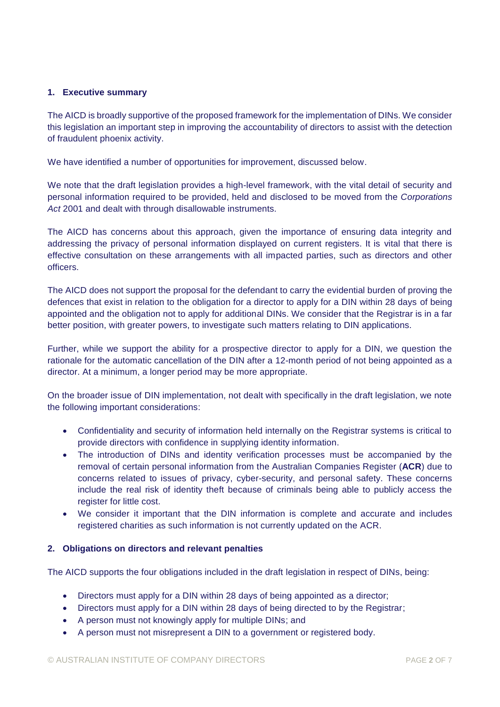# **1. Executive summary**

The AICD is broadly supportive of the proposed framework for the implementation of DINs. We consider this legislation an important step in improving the accountability of directors to assist with the detection of fraudulent phoenix activity.

We have identified a number of opportunities for improvement, discussed below.

We note that the draft legislation provides a high-level framework, with the vital detail of security and personal information required to be provided, held and disclosed to be moved from the *Corporations Act* 2001 and dealt with through disallowable instruments.

The AICD has concerns about this approach, given the importance of ensuring data integrity and addressing the privacy of personal information displayed on current registers. It is vital that there is effective consultation on these arrangements with all impacted parties, such as directors and other officers.

The AICD does not support the proposal for the defendant to carry the evidential burden of proving the defences that exist in relation to the obligation for a director to apply for a DIN within 28 days of being appointed and the obligation not to apply for additional DINs. We consider that the Registrar is in a far better position, with greater powers, to investigate such matters relating to DIN applications.

Further, while we support the ability for a prospective director to apply for a DIN, we question the rationale for the automatic cancellation of the DIN after a 12-month period of not being appointed as a director. At a minimum, a longer period may be more appropriate.

On the broader issue of DIN implementation, not dealt with specifically in the draft legislation, we note the following important considerations:

- Confidentiality and security of information held internally on the Registrar systems is critical to provide directors with confidence in supplying identity information.
- The introduction of DINs and identity verification processes must be accompanied by the removal of certain personal information from the Australian Companies Register (**ACR**) due to concerns related to issues of privacy, cyber-security, and personal safety. These concerns include the real risk of identity theft because of criminals being able to publicly access the register for little cost.
- We consider it important that the DIN information is complete and accurate and includes registered charities as such information is not currently updated on the ACR.

## **2. Obligations on directors and relevant penalties**

The AICD supports the four obligations included in the draft legislation in respect of DINs, being:

- Directors must apply for a DIN within 28 days of being appointed as a director;
- Directors must apply for a DIN within 28 days of being directed to by the Registrar;
- A person must not knowingly apply for multiple DINs; and
- A person must not misrepresent a DIN to a government or registered body.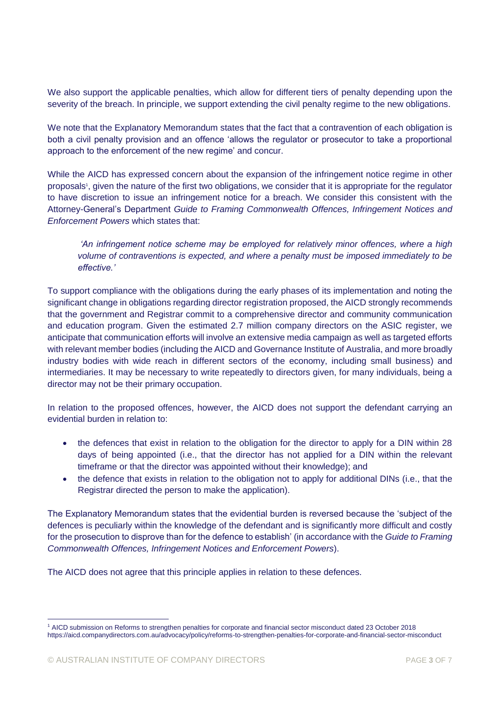We also support the applicable penalties, which allow for different tiers of penalty depending upon the severity of the breach. In principle, we support extending the civil penalty regime to the new obligations.

We note that the Explanatory Memorandum states that the fact that a contravention of each obligation is both a civil penalty provision and an offence 'allows the regulator or prosecutor to take a proportional approach to the enforcement of the new regime' and concur.

While the AICD has expressed concern about the expansion of the infringement notice regime in other proposals<sup>1</sup>, given the nature of the first two obligations, we consider that it is appropriate for the regulator to have discretion to issue an infringement notice for a breach. We consider this consistent with the Attorney-General's Department *Guide to Framing Commonwealth Offences, Infringement Notices and Enforcement Powers* which states that:

*'An infringement notice scheme may be employed for relatively minor offences, where a high volume of contraventions is expected, and where a penalty must be imposed immediately to be effective.'*

To support compliance with the obligations during the early phases of its implementation and noting the significant change in obligations regarding director registration proposed, the AICD strongly recommends that the government and Registrar commit to a comprehensive director and community communication and education program. Given the estimated 2.7 million company directors on the ASIC register, we anticipate that communication efforts will involve an extensive media campaign as well as targeted efforts with relevant member bodies (including the AICD and Governance Institute of Australia, and more broadly industry bodies with wide reach in different sectors of the economy, including small business) and intermediaries. It may be necessary to write repeatedly to directors given, for many individuals, being a director may not be their primary occupation.

In relation to the proposed offences, however, the AICD does not support the defendant carrying an evidential burden in relation to:

- the defences that exist in relation to the obligation for the director to apply for a DIN within 28 days of being appointed (i.e., that the director has not applied for a DIN within the relevant timeframe or that the director was appointed without their knowledge); and
- the defence that exists in relation to the obligation not to apply for additional DINs (i.e., that the Registrar directed the person to make the application).

The Explanatory Memorandum states that the evidential burden is reversed because the 'subject of the defences is peculiarly within the knowledge of the defendant and is significantly more difficult and costly for the prosecution to disprove than for the defence to establish' (in accordance with the *Guide to Framing Commonwealth Offences, Infringement Notices and Enforcement Powers*).

The AICD does not agree that this principle applies in relation to these defences.

-

<sup>1</sup> AICD submission on Reforms to strengthen penalties for corporate and financial sector misconduct dated 23 October 2018 https://aicd.companydirectors.com.au/advocacy/policy/reforms-to-strengthen-penalties-for-corporate-and-financial-sector-misconduct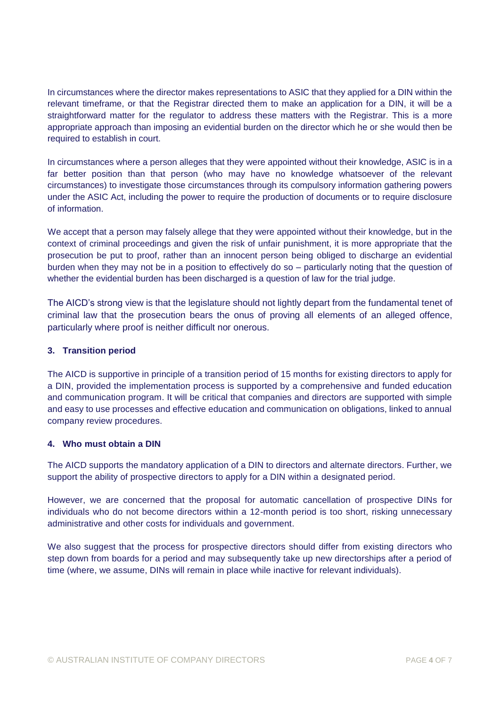In circumstances where the director makes representations to ASIC that they applied for a DIN within the relevant timeframe, or that the Registrar directed them to make an application for a DIN, it will be a straightforward matter for the regulator to address these matters with the Registrar. This is a more appropriate approach than imposing an evidential burden on the director which he or she would then be required to establish in court.

In circumstances where a person alleges that they were appointed without their knowledge, ASIC is in a far better position than that person (who may have no knowledge whatsoever of the relevant circumstances) to investigate those circumstances through its compulsory information gathering powers under the ASIC Act, including the power to require the production of documents or to require disclosure of information.

We accept that a person may falsely allege that they were appointed without their knowledge, but in the context of criminal proceedings and given the risk of unfair punishment, it is more appropriate that the prosecution be put to proof, rather than an innocent person being obliged to discharge an evidential burden when they may not be in a position to effectively do so – particularly noting that the question of whether the evidential burden has been discharged is a question of law for the trial judge.

The AICD's strong view is that the legislature should not lightly depart from the fundamental tenet of criminal law that the prosecution bears the onus of proving all elements of an alleged offence, particularly where proof is neither difficult nor onerous.

# **3. Transition period**

The AICD is supportive in principle of a transition period of 15 months for existing directors to apply for a DIN, provided the implementation process is supported by a comprehensive and funded education and communication program. It will be critical that companies and directors are supported with simple and easy to use processes and effective education and communication on obligations, linked to annual company review procedures.

## **4. Who must obtain a DIN**

The AICD supports the mandatory application of a DIN to directors and alternate directors. Further, we support the ability of prospective directors to apply for a DIN within a designated period.

However, we are concerned that the proposal for automatic cancellation of prospective DINs for individuals who do not become directors within a 12-month period is too short, risking unnecessary administrative and other costs for individuals and government.

We also suggest that the process for prospective directors should differ from existing directors who step down from boards for a period and may subsequently take up new directorships after a period of time (where, we assume, DINs will remain in place while inactive for relevant individuals).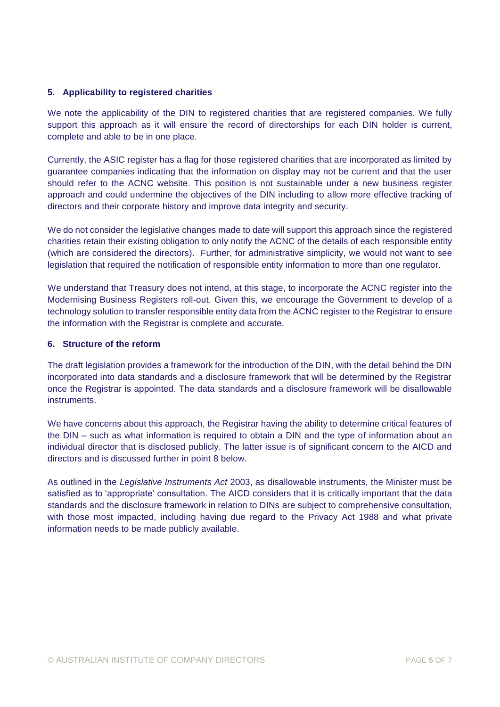## **5. Applicability to registered charities**

We note the applicability of the DIN to registered charities that are registered companies. We fully support this approach as it will ensure the record of directorships for each DIN holder is current, complete and able to be in one place.

Currently, the ASIC register has a flag for those registered charities that are incorporated as limited by guarantee companies indicating that the information on display may not be current and that the user should refer to the ACNC website. This position is not sustainable under a new business register approach and could undermine the objectives of the DIN including to allow more effective tracking of directors and their corporate history and improve data integrity and security.

We do not consider the legislative changes made to date will support this approach since the registered charities retain their existing obligation to only notify the ACNC of the details of each responsible entity (which are considered the directors). Further, for administrative simplicity, we would not want to see legislation that required the notification of responsible entity information to more than one regulator.

We understand that Treasury does not intend, at this stage, to incorporate the ACNC register into the Modernising Business Registers roll-out. Given this, we encourage the Government to develop of a technology solution to transfer responsible entity data from the ACNC register to the Registrar to ensure the information with the Registrar is complete and accurate.

## **6. Structure of the reform**

The draft legislation provides a framework for the introduction of the DIN, with the detail behind the DIN incorporated into data standards and a disclosure framework that will be determined by the Registrar once the Registrar is appointed. The data standards and a disclosure framework will be disallowable instruments.

We have concerns about this approach, the Registrar having the ability to determine critical features of the DIN – such as what information is required to obtain a DIN and the type of information about an individual director that is disclosed publicly. The latter issue is of significant concern to the AICD and directors and is discussed further in point 8 below.

As outlined in the *Legislative Instruments Act* 2003, as disallowable instruments, the Minister must be satisfied as to 'appropriate' consultation. The AICD considers that it is critically important that the data standards and the disclosure framework in relation to DINs are subject to comprehensive consultation, with those most impacted, including having due regard to the Privacy Act 1988 and what private information needs to be made publicly available.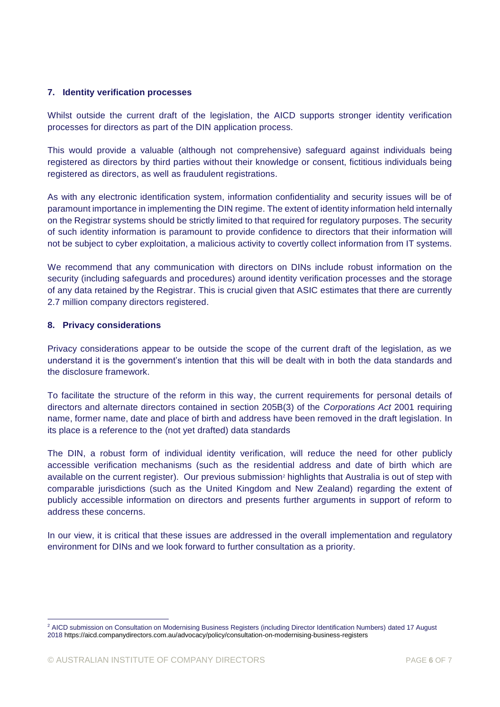## **7. Identity verification processes**

Whilst outside the current draft of the legislation, the AICD supports stronger identity verification processes for directors as part of the DIN application process.

This would provide a valuable (although not comprehensive) safeguard against individuals being registered as directors by third parties without their knowledge or consent, fictitious individuals being registered as directors, as well as fraudulent registrations.

As with any electronic identification system, information confidentiality and security issues will be of paramount importance in implementing the DIN regime. The extent of identity information held internally on the Registrar systems should be strictly limited to that required for regulatory purposes. The security of such identity information is paramount to provide confidence to directors that their information will not be subject to cyber exploitation, a malicious activity to covertly collect information from IT systems.

We recommend that any communication with directors on DINs include robust information on the security (including safeguards and procedures) around identity verification processes and the storage of any data retained by the Registrar. This is crucial given that ASIC estimates that there are currently 2.7 million company directors registered.

## **8. Privacy considerations**

-

Privacy considerations appear to be outside the scope of the current draft of the legislation, as we understand it is the government's intention that this will be dealt with in both the data standards and the disclosure framework.

To facilitate the structure of the reform in this way, the current requirements for personal details of directors and alternate directors contained in section 205B(3) of the *Corporations Act* 2001 requiring name, former name, date and place of birth and address have been removed in the draft legislation. In its place is a reference to the (not yet drafted) data standards

The DIN, a robust form of individual identity verification, will reduce the need for other publicly accessible verification mechanisms (such as the residential address and date of birth which are available on the current register). Our previous submission<sup>2</sup> highlights that Australia is out of step with comparable jurisdictions (such as the United Kingdom and New Zealand) regarding the extent of publicly accessible information on directors and presents further arguments in support of reform to address these concerns.

In our view, it is critical that these issues are addressed in the overall implementation and regulatory environment for DINs and we look forward to further consultation as a priority.

<sup>&</sup>lt;sup>2</sup> AICD submission on Consultation on Modernising Business Registers (including Director Identification Numbers) dated 17 August 201[8 https://aicd.companydirectors.com.au/advocacy/policy/consultation-on-modernising-business-registers](https://aicd.companydirectors.com.au/advocacy/policy/consultation-on-modernising-business-registers)